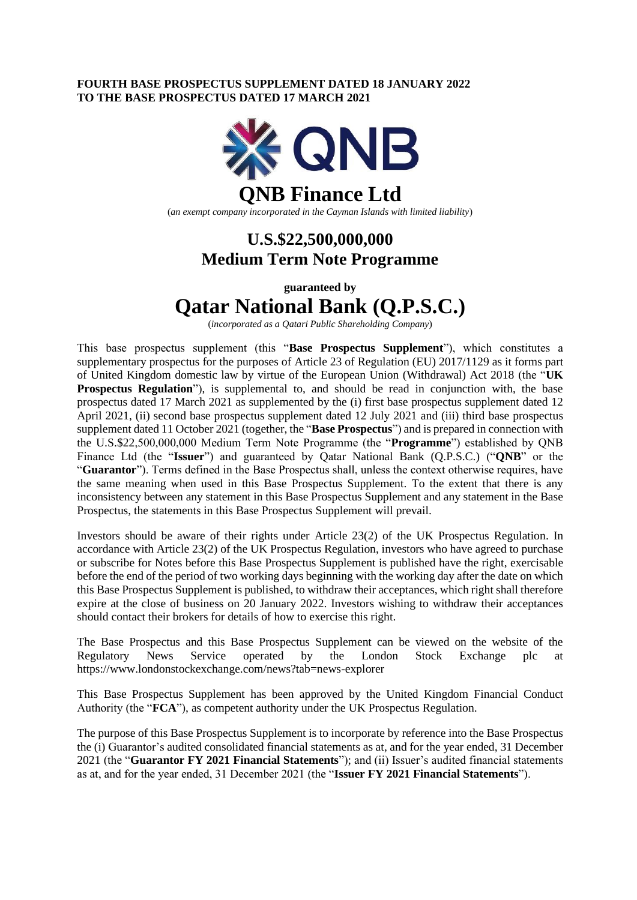### **FOURTH BASE PROSPECTUS SUPPLEMENT DATED 18 JANUARY 2022 TO THE BASE PROSPECTUS DATED 17 MARCH 2021**



(*an exempt company incorporated in the Cayman Islands with limited liability*)

## **U.S.\$22,500,000,000 Medium Term Note Programme**

**guaranteed by**

# **Qatar National Bank (Q.P.S.C.)**

(*incorporated as a Qatari Public Shareholding Company*)

This base prospectus supplement (this "**Base Prospectus Supplement**"), which constitutes a supplementary prospectus for the purposes of Article 23 of Regulation (EU) 2017/1129 as it forms part of United Kingdom domestic law by virtue of the European Union (Withdrawal) Act 2018 (the "**UK Prospectus Regulation**"), is supplemental to, and should be read in conjunction with, the base prospectus dated 17 March 2021 as supplemented by the (i) first base prospectus supplement dated 12 April 2021, (ii) second base prospectus supplement dated 12 July 2021 and (iii) third base prospectus supplement dated 11 October 2021 (together, the "**Base Prospectus**") and is prepared in connection with the U.S.\$22,500,000,000 Medium Term Note Programme (the "**Programme**") established by QNB Finance Ltd (the "**Issuer**") and guaranteed by Qatar National Bank (Q.P.S.C.) ("**QNB**" or the "**Guarantor**"). Terms defined in the Base Prospectus shall, unless the context otherwise requires, have the same meaning when used in this Base Prospectus Supplement. To the extent that there is any inconsistency between any statement in this Base Prospectus Supplement and any statement in the Base Prospectus, the statements in this Base Prospectus Supplement will prevail.

Investors should be aware of their rights under Article 23(2) of the UK Prospectus Regulation. In accordance with Article 23(2) of the UK Prospectus Regulation, investors who have agreed to purchase or subscribe for Notes before this Base Prospectus Supplement is published have the right, exercisable before the end of the period of two working days beginning with the working day after the date on which this Base Prospectus Supplement is published, to withdraw their acceptances, which right shall therefore expire at the close of business on 20 January 2022. Investors wishing to withdraw their acceptances should contact their brokers for details of how to exercise this right.

The Base Prospectus and this Base Prospectus Supplement can be viewed on the website of the Regulatory News Service operated by the London Stock Exchange plc at <https://www.londonstockexchange.com/news?tab=news-explorer>

This Base Prospectus Supplement has been approved by the United Kingdom Financial Conduct Authority (the "**FCA**"), as competent authority under the UK Prospectus Regulation.

The purpose of this Base Prospectus Supplement is to incorporate by reference into the Base Prospectus the (i) Guarantor's audited consolidated financial statements as at, and for the year ended, 31 December 2021 (the "**Guarantor FY 2021 Financial Statements**"); and (ii) Issuer's audited financial statements as at, and for the year ended, 31 December 2021 (the "**Issuer FY 2021 Financial Statements**").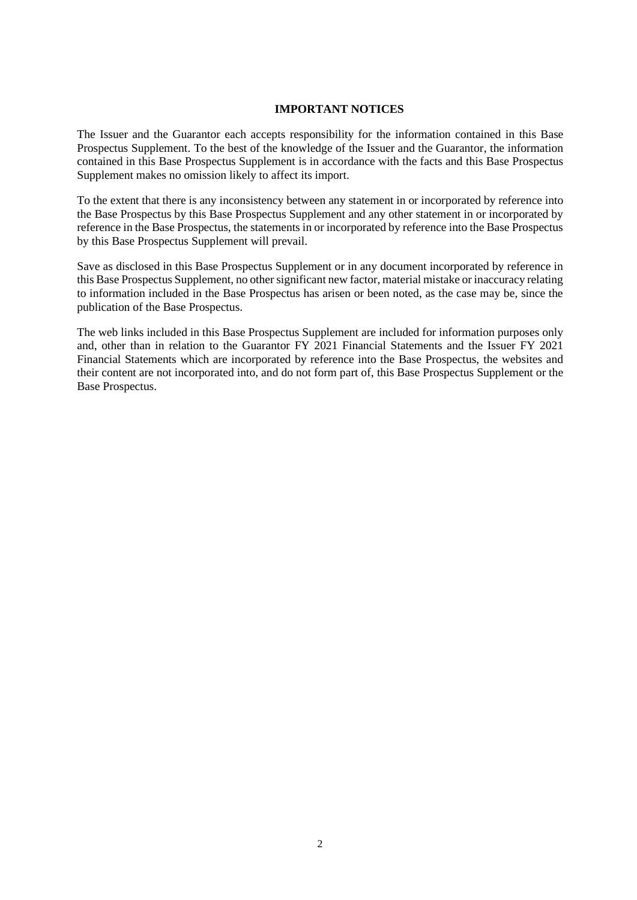### **IMPORTANT NOTICES**

The Issuer and the Guarantor each accepts responsibility for the information contained in this Base Prospectus Supplement. To the best of the knowledge of the Issuer and the Guarantor, the information contained in this Base Prospectus Supplement is in accordance with the facts and this Base Prospectus Supplement makes no omission likely to affect its import.

To the extent that there is any inconsistency between any statement in or incorporated by reference into the Base Prospectus by this Base Prospectus Supplement and any other statement in or incorporated by reference in the Base Prospectus, the statements in or incorporated by reference into the Base Prospectus by this Base Prospectus Supplement will prevail.

Save as disclosed in this Base Prospectus Supplement or in any document incorporated by reference in this Base Prospectus Supplement, no other significant new factor, material mistake or inaccuracy relating to information included in the Base Prospectus has arisen or been noted, as the case may be, since the publication of the Base Prospectus.

The web links included in this Base Prospectus Supplement are included for information purposes only and, other than in relation to the Guarantor FY 2021 Financial Statements and the Issuer FY 2021 Financial Statements which are incorporated by reference into the Base Prospectus, the websites and their content are not incorporated into, and do not form part of, this Base Prospectus Supplement or the Base Prospectus.